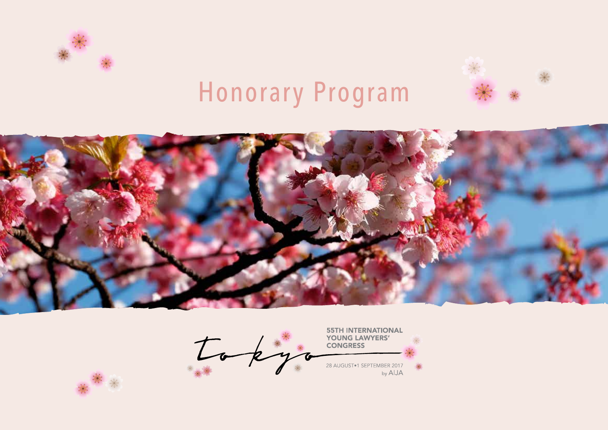





**55TH INTERNATIONAL**  $I$  ok YOUNG LAWYERS' **CONGRESS** 28 AUGUST <sup>1</sup> SEPTEMBER 2017<br>by AIJA  $\frac{1}{2}$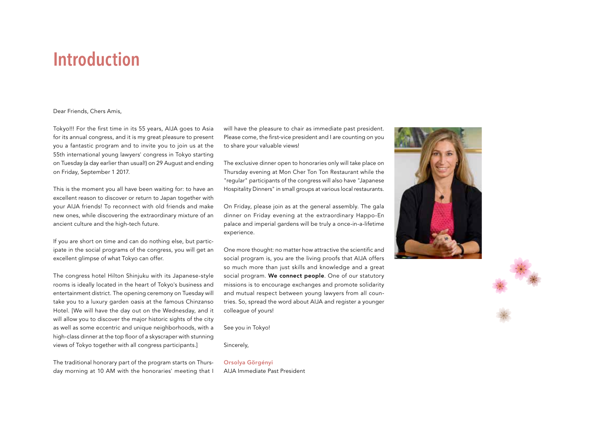## **Introduction**

#### Dear Friends, Chers Amis,

Tokyo!!! For the first time in its 55 years, AIJA goes to Asia for its annual congress, and it is my great pleasure to present you a fantastic program and to invite you to join us at the 55th international young lawyers' congress in Tokyo starting on Tuesday (a day earlier than usual!) on 29 August and ending on Friday, September 1 2017.

This is the moment you all have been waiting for: to have an excellent reason to discover or return to Japan together with your AIJA friends! To reconnect with old friends and make new ones, while discovering the extraordinary mixture of an ancient culture and the high-tech future.

If you are short on time and can do nothing else, but participate in the social programs of the congress, you will get an excellent glimpse of what Tokyo can offer.

The congress hotel Hilton Shinjuku with its Japanese-style rooms is ideally located in the heart of Tokyo's business and entertainment district. The opening ceremony on Tuesday will take you to a luxury garden oasis at the famous Chinzanso Hotel. [We will have the day out on the Wednesday, and it will allow you to discover the major historic sights of the city as well as some eccentric and unique neighborhoods, with a high-class dinner at the top floor of a skyscraper with stunning views of Tokyo together with all congress participants.]

The traditional honorary part of the program starts on Thursday morning at 10 AM with the honoraries' meeting that I

will have the pleasure to chair as immediate past president. Please come, the first-vice president and I are counting on you to share your valuable views!

The exclusive dinner open to honoraries only will take place on Thursday evening at Mon Cher Ton Ton Restaurant while the "regular" participants of the congress will also have "Japanese Hospitality Dinners" in small groups at various local restaurants.

On Friday, please join as at the general assembly. The gala dinner on Friday evening at the extraordinary Happo-En palace and imperial gardens will be truly a once-in-a-lifetime experience.

One more thought: no matter how attractive the scientific and social program is, you are the living proofs that AIJA offers so much more than just skills and knowledge and a great social program. We connect people. One of our statutory missions is to encourage exchanges and promote solidarity and mutual respect between young lawyers from all countries. So, spread the word about AIJA and register a younger colleague of yours!

See you in Tokyo!

Sincerely,

Orsolya Görgényi AIJA Immediate Past President

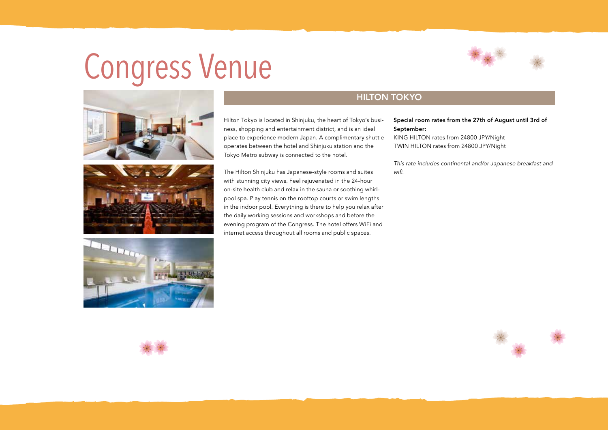## Congress Venue







## **HILTON TOKYO**

Hilton Tokyo is located in Shinjuku, the heart of Tokyo's business, shopping and entertainment district, and is an ideal place to experience modern Japan. A complimentary shuttle operates between the hotel and Shinjuku station and the Tokyo Metro subway is connected to the hotel.

The Hilton Shinjuku has Japanese-style rooms and suites with stunning city views. Feel rejuvenated in the 24-hour on-site health club and relax in the sauna or soothing whirlpool spa. Play tennis on the rooftop courts or swim lengths in the indoor pool. Everything is there to help you relax after the daily working sessions and workshops and before the evening program of the Congress. The hotel offers WiFi and internet access throughout all rooms and public spaces.

#### Special room rates from the 27th of August until 3rd of September:

KING HILTON rates from 24800 JPY/Night TWIN HILTON rates from 24800 JPY/Night

*This rate includes continental and/or Japanese breakfast and wifi.*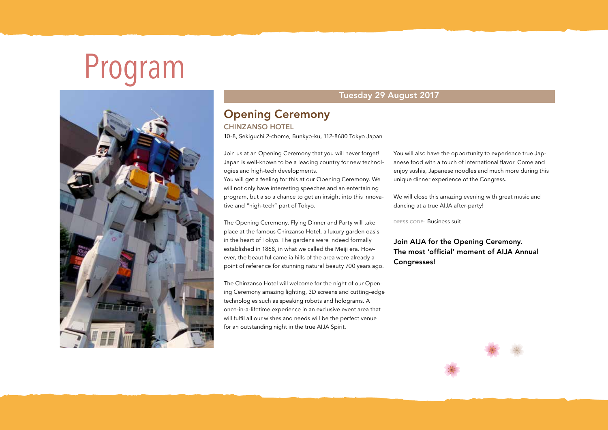# Program



### Tuesday 29 August 2017

## Opening Ceremony

CHINZANSO HOTEL

10-8, Sekiguchi 2-chome, Bunkyo-ku, 112-8680 Tokyo Japan

Join us at an Opening Ceremony that you will never forget! Japan is well-known to be a leading country for new technologies and high-tech developments.

You will get a feeling for this at our Opening Ceremony. We will not only have interesting speeches and an entertaining program, but also a chance to get an insight into this innovative and "high-tech" part of Tokyo.

The Opening Ceremony, Flying Dinner and Party will take place at the famous Chinzanso Hotel, a luxury garden oasis in the heart of Tokyo. The gardens were indeed formally established in 1868, in what we called the Meiji era. However, the beautiful camelia hills of the area were already a point of reference for stunning natural beauty 700 years ago.

The Chinzanso Hotel will welcome for the night of our Opening Ceremony amazing lighting, 3D screens and cutting-edge technologies such as speaking robots and holograms. A once-in-a-lifetime experience in an exclusive event area that will fulfil all our wishes and needs will be the perfect venue for an outstanding night in the true AIJA Spirit.

You will also have the opportunity to experience true Japanese food with a touch of International flavor. Come and enjoy sushis, Japanese noodles and much more during this unique dinner experience of the Congress.

We will close this amazing evening with great music and dancing at a true AIJA after-party!

DRESS CODE: Business suit

Join AIJA for the Opening Ceremony. The most 'official' moment of AIJA Annual Congresses!

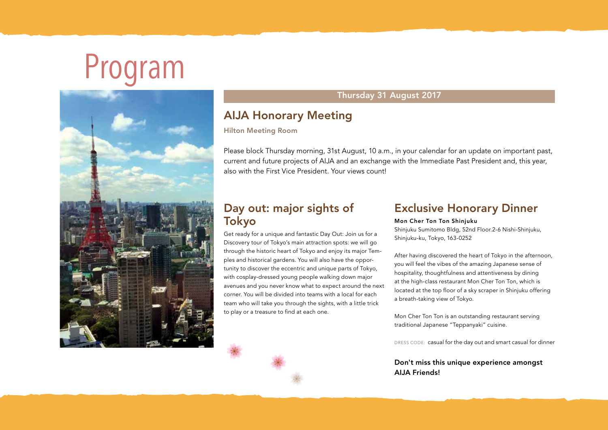# Program



## Thursday 31 August 2017

## AIJA Honorary Meeting

### Hilton Meeting Room

Please block Thursday morning, 31st August, 10 a.m., in your calendar for an update on important past, current and future projects of AIJA and an exchange with the Immediate Past President and, this year, also with the First Vice President. Your views countly

## Day out: major sights of Tokyo

Get ready for a unique and fantastic Day Out: Join us for a Discovery tour of Tokyo's main attraction spots: we will go through the historic heart of Tokyo and enjoy its major Temples and historical gardens. You will also have the opportunity to discover the eccentric and unique parts of Tokyo, with cosplay-dressed young people walking down major avenues and you never know what to expect around the next corner. You will be divided into teams with a local for each team who will take you through the sights, with a little trick to play or a treasure to find at each one.

## Exclusive Honorary Dinner

#### Mon Cher Ton Ton Shinjuku

Shinjuku Sumitomo Bldg, 52nd Floor.2-6 Nishi-Shinjuku, Shinjuku-ku, Tokyo, 163-0252

After having discovered the heart of Tokyo in the afternoon, you will feel the vibes of the amazing Japanese sense of hospitality, thoughtfulness and attentiveness by dining at the high-class restaurant Mon Cher Ton Ton, which is located at the top floor of a sky scraper in Shinjuku offering a breath-taking view of Tokyo.

Mon Cher Ton Ton is an outstanding restaurant serving traditional Japanese "Teppanyaki" cuisine.

DRESS CODE: casual for the day out and smart casual for dinner

### Don't miss this unique experience amongst AIJA Friends!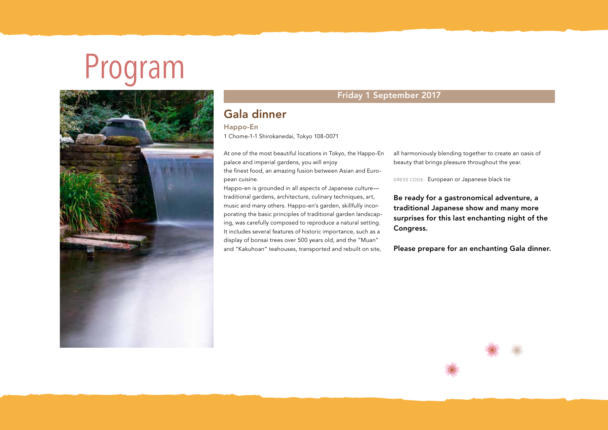## Program



## Friday 1 September 2017

## Gala dinner

#### Happo-En

1 Chome-1-1 Shirokanedai, Tokyo 108-0071

At one of the most beautiful locations in Tokyo, the Happo-En palace and imperial gardens, you will enjoy the finest food, an amazing fusion between Asian and European cuisine.

Happo-en is grounded in all aspects of Japanese culture traditional gardens, architecture, culinary techniques, art, music and many others. Happo-en's garden, skillfully incorporating the basic principles of traditional garden landscaping, was carefully composed to reproduce a natural setting. It includes several features of historic importance, such as a display of bonsai trees over 500 years old, and the "Muan" and "Kakuhoan" teahouses, transported and rebuilt on site,

all harmoniously blending together to create an oasis of beauty that brings pleasure throughout the year.

DRESS CODE: European or Japanese black tie

Be ready for a gastronomical adventure, a traditional Japanese show and many more surprises for this last enchanting night of the Congress.

Please prepare for an enchanting Gala dinner.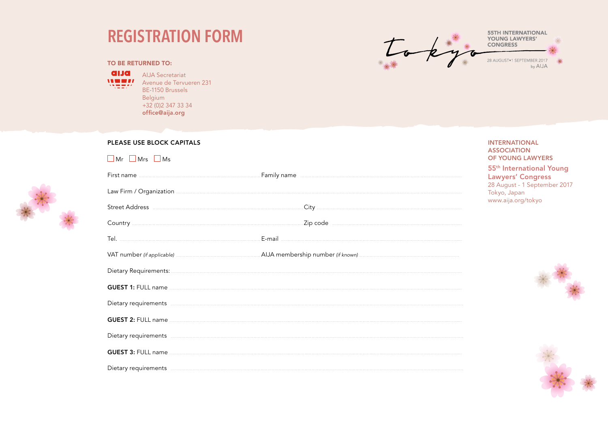## **REGISTRATION FORM**



#### **TO BE RETURNED TO:**

**alla** ALIA Secretariat

**IN EFFI** Avenue de Tervueren 231 BF-1150 Brussels Belgium  $+32(0)23473334$ office@aija.org

#### PLEASE USE BLOCK CAPITALS **INTERNATIONAL ASSOCIATION**  $\Box$  Mr  $\Box$  Mrs  $\Box$  Ms OF YOUNG LAWYERS 55<sup>th</sup> International Young Family name **continued and a matter of the contract of the contract of the contract of the contract of the contract of the contract of the contract of the contract of the contract of the contract of the contract of the con** First name **Lawyers' Congress** 28 August - 1 September 2017 Law Firm / Organization **Material Contract Contract Contract Contract Contract Contract Contract Contract Contract Contract Contract Contract Contract Contract Contract Contract Contract Contract Contract Contract Contract** Tokyo, Japan www.aija.org/tokyo Tel. <u>The community of the community of the community of the community of the community of the community of the community of the community of the community of the community of the community of the community of the communit</u> **GUEST 1: FULL name ........** Dietary requirements entertainment and the contract of the contract of the contract of the contract of the contract of the contract of the contract of the contract of the contract of the contract of the contract of the con GUEST 2: FULL name

Dietary requirements **contract the contract of the contract of the contract of the contract of the contract of the contract of the contract of the contract of the contract of the contract of the contract of the contract of** 

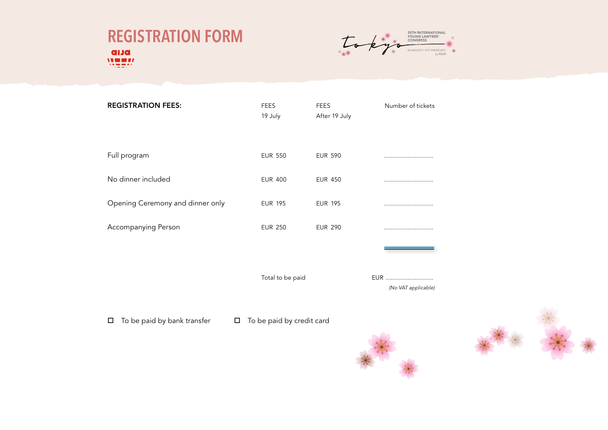



| <b>REGISTRATION FEES:</b>        | <b>FEES</b><br>19 July | <b>FEES</b><br>After 19 July | Number of tickets          |
|----------------------------------|------------------------|------------------------------|----------------------------|
| Full program                     | <b>EUR 550</b>         | <b>EUR 590</b>               |                            |
| No dinner included               | <b>EUR 400</b>         | <b>EUR 450</b>               |                            |
| Opening Ceremony and dinner only | <b>EUR 195</b>         | <b>EUR 195</b>               |                            |
| Accompanying Person              | <b>EUR 250</b>         | <b>EUR 290</b>               |                            |
|                                  |                        |                              |                            |
|                                  | Total to be paid       |                              | EUR<br>(No VAT applicable) |

 $\Box$  To be paid by bank transfer  $\Box$  To be paid by credit card